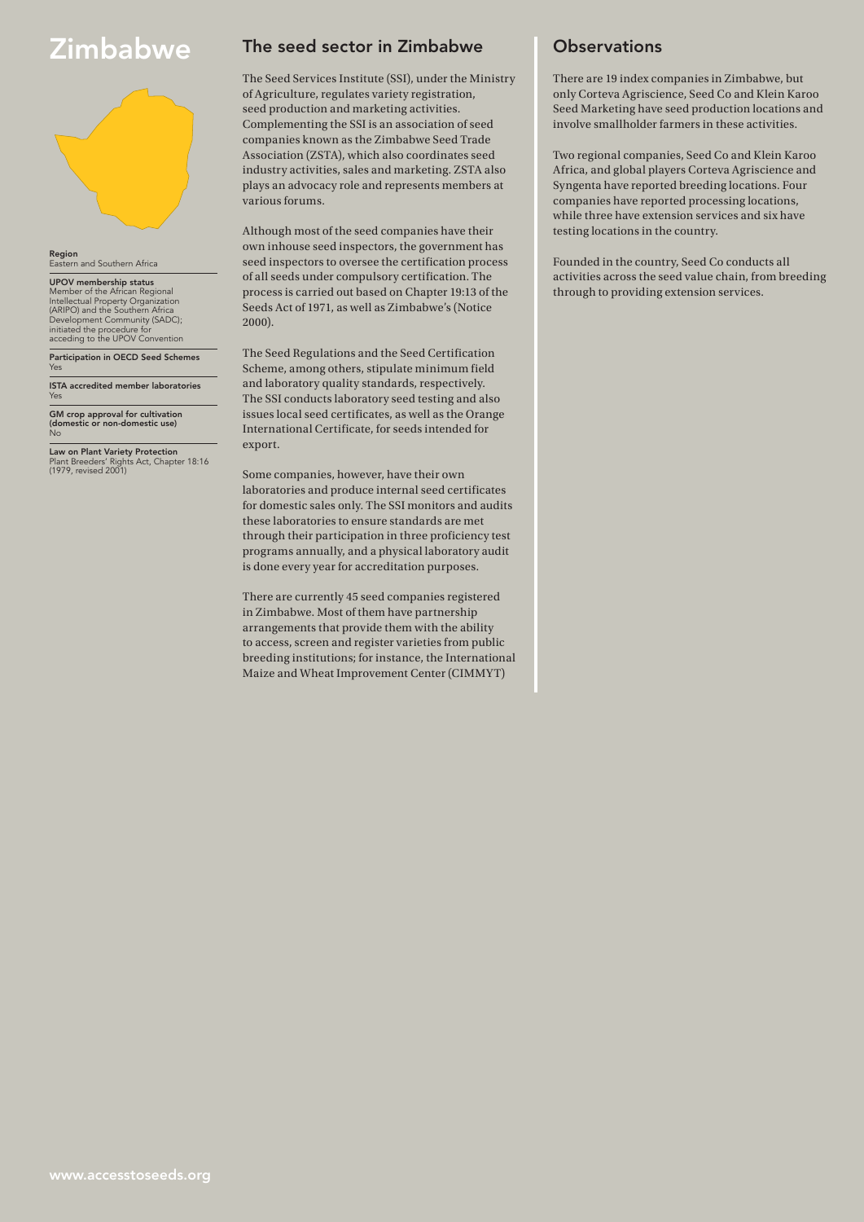# **Zimbabwe**



**Region**<br>Eastern and Southern Africa

UPOV membership status Member of the African Regional Intellectual Property Organization (ARIPO) and the Southern Africa Development Community (SADC); initiated the procedure for acceding to the UPOV Convention

Participation in OECD Seed Schemes Yes

ISTA accredited member laboratories Yes

GM crop approval for cultivation (domestic or non-domestic use) No

Law on Plant Variety Protection Plant Breeders' Rights Act, Chapter 18:16 (1979, revised 2001)

#### The seed sector in Zimbabwe

The Seed Services Institute (SSI), under the Ministry of Agriculture, regulates variety registration, seed production and marketing activities. Complementing the SSI is an association of seed companies known as the Zimbabwe Seed Trade Association (ZSTA), which also coordinates seed industry activities, sales and marketing. ZSTA also plays an advocacy role and represents members at various forums.

Although most of the seed companies have their own inhouse seed inspectors, the government has seed inspectors to oversee the certification process of all seeds under compulsory certification. The process is carried out based on Chapter 19:13 of the Seeds Act of 1971, as well as Zimbabwe's (Notice 2000).

The Seed Regulations and the Seed Certification Scheme, among others, stipulate minimum field and laboratory quality standards, respectively. The SSI conducts laboratory seed testing and also issues local seed certificates, as well as the Orange International Certificate, for seeds intended for export.

Some companies, however, have their own laboratories and produce internal seed certificates for domestic sales only. The SSI monitors and audits these laboratories to ensure standards are met through their participation in three proficiency test programs annually, and a physical laboratory audit is done every year for accreditation purposes.

There are currently 45 seed companies registered in Zimbabwe. Most of them have partnership arrangements that provide them with the ability to access, screen and register varieties from public breeding institutions; for instance, the International Maize and Wheat Improvement Center (CIMMYT)

#### **Observations**

There are 19 index companies in Zimbabwe, but only Corteva Agriscience, Seed Co and Klein Karoo Seed Marketing have seed production locations and involve smallholder farmers in these activities.

Two regional companies, Seed Co and Klein Karoo Africa, and global players Corteva Agriscience and Syngenta have reported breeding locations. Four companies have reported processing locations, while three have extension services and six have testing locations in the country.

Founded in the country, Seed Co conducts all activities across the seed value chain, from breeding through to providing extension services.